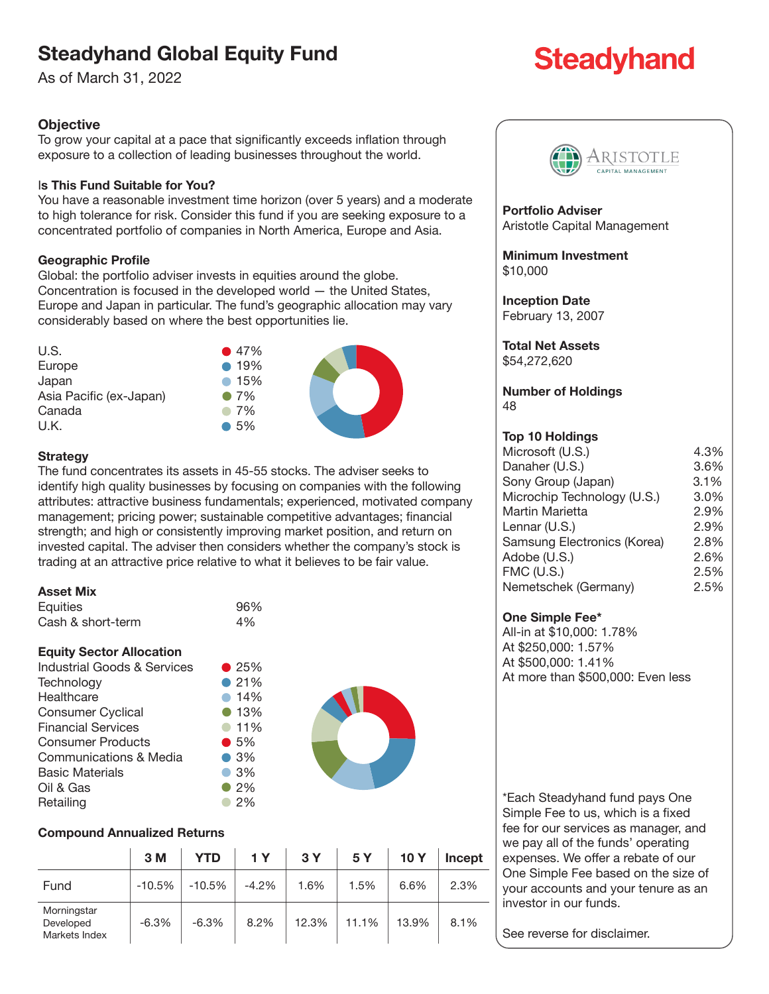## **Steadyhand Global Equity Fund**

As of March 31, 2022

### **Objective**

To grow your capital at a pace that significantly exceeds inflation through exposure to a collection of leading businesses throughout the world.

#### I**s This Fund Suitable for You?**

You have a reasonable investment time horizon (over 5 years) and a moderate to high tolerance for risk. Consider this fund if you are seeking exposure to a concentrated portfolio of companies in North America, Europe and Asia.

#### **Geographic Profile**

Global: the portfolio adviser invests in equities around the globe. Concentration is focused in the developed world — the United States, Europe and Japan in particular. The fund's geographic allocation may vary considerably based on where the best opportunities lie.



#### **Strategy**

The fund concentrates its assets in 45-55 stocks. The adviser seeks to identify high quality businesses by focusing on companies with the following attributes: attractive business fundamentals; experienced, motivated company management; pricing power; sustainable competitive advantages; financial strength; and high or consistently improving market position, and return on invested capital. The adviser then considers whether the company's stock is trading at an attractive price relative to what it believes to be fair value.

#### **Asset Mix**

| Equities          | 96% |
|-------------------|-----|
| Cash & short-term | 4%  |

#### **Equity Sector Allocation**

| Industrial Goods & Services | $\bullet$ 25% |
|-----------------------------|---------------|
| Technology                  | • 21%         |
| Healthcare                  | • 14%         |
| <b>Consumer Cyclical</b>    | • 13%         |
| <b>Financial Services</b>   | • 11%         |
| <b>Consumer Products</b>    | $\bullet$ 5%  |
| Communications & Media      | $\bullet$ 3%  |
| <b>Basic Materials</b>      | $\bullet$ 3%  |
| Oil & Gas                   | $\bullet$ 2%  |
| Retailing                   | 2%            |



#### **Compound Annualized Returns**

|                                           | 3M       | YTD     | 1 Y     | 3Y    | 5Y    | <b>10 Y</b> | Incept |
|-------------------------------------------|----------|---------|---------|-------|-------|-------------|--------|
| Fund                                      | $-10.5%$ | -10.5%  | $-4.2%$ | 1.6%  | 1.5%  | 6.6%        | 2.3%   |
| Morningstar<br>Developed<br>Markets Index | $-6.3%$  | $-6.3%$ | 8.2%    | 12.3% | 11.1% | 13.9%       | 8.1%   |



**Portfolio Adviser** Aristotle Capital Management

**Minimum Investment** \$10,000

**Inception Date** February 13, 2007

**Total Net Assets** \$54,272,620

**Number of Holdings** 48

#### **Top 10 Holdings**

| Microsoft (U.S.)            | 4.3% |
|-----------------------------|------|
| Danaher (U.S.)              | 3.6% |
| Sony Group (Japan)          | 3.1% |
| Microchip Technology (U.S.) | 3.0% |
| Martin Marietta             | 2.9% |
| Lennar (U.S.)               | 2.9% |
| Samsung Electronics (Korea) | 2.8% |
| Adobe (U.S.)                | 2.6% |
| $FMC$ (U.S.)                | 2.5% |
| Nemetschek (Germany)        | 2.5% |
|                             |      |

#### **One Simple Fee\***

All-in at \$10,000: 1.78% At \$250,000: 1.57% At \$500,000: 1.41% At more than \$500,000: Even less

\*Each Steadyhand fund pays One Simple Fee to us, which is a fixed fee for our services as manager, and we pay all of the funds' operating expenses. We offer a rebate of our One Simple Fee based on the size of your accounts and your tenure as an investor in our funds.

See reverse for disclaimer.

# **Steadyhand**